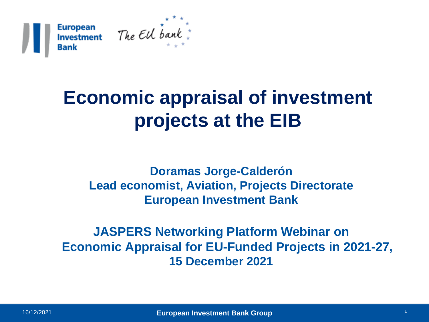

## **Economic appraisal of investment projects at the EIB**

**Doramas Jorge-Calderón Lead economist, Aviation, Projects Directorate European Investment Bank**

**JASPERS Networking Platform Webinar on Economic Appraisal for EU-Funded Projects in 2021-27, 15 December 2021**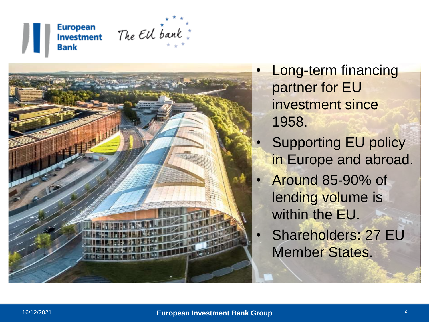#### **European Investment Bank**





**Long-term financing** partner for EU investment since 1958.

- Supporting EU policy in Europe and abroad.
- Around 85-90% of lending volume is within the EU.
- Shareholders: 27 EU Member States.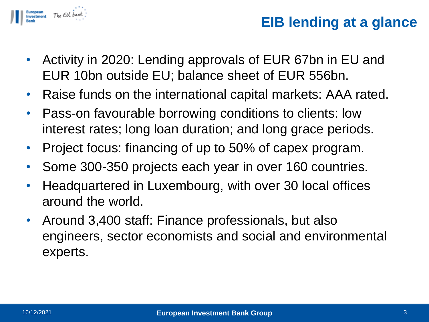

## **EIB lending at a glance**

- Activity in 2020: Lending approvals of EUR 67bn in EU and EUR 10bn outside EU; balance sheet of EUR 556bn.
- Raise funds on the international capital markets: AAA rated.
- Pass-on favourable borrowing conditions to clients: low interest rates; long loan duration; and long grace periods.
- Project focus: financing of up to 50% of capex program.
- Some 300-350 projects each year in over 160 countries.
- Headquartered in Luxembourg, with over 30 local offices around the world.
- Around 3,400 staff: Finance professionals, but also engineers, sector economists and social and environmental experts.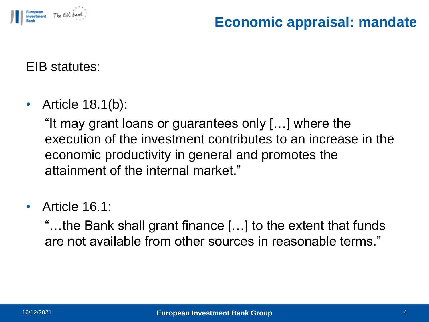

## **Economic appraisal: mandate**

EIB statutes:

• Article 18.1(b):

"It may grant loans or guarantees only […] where the execution of the investment contributes to an increase in the economic productivity in general and promotes the attainment of the internal market."

• Article 16.1:

"…the Bank shall grant finance […] to the extent that funds are not available from other sources in reasonable terms."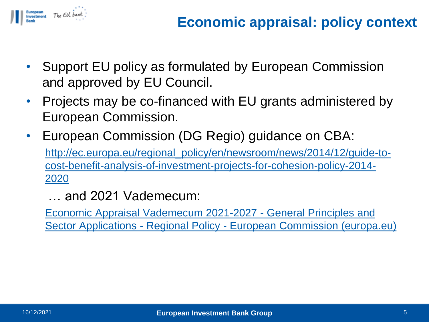

- Support EU policy as formulated by European Commission and approved by EU Council.
- Projects may be co-financed with EU grants administered by European Commission.
- European Commission (DG Regio) guidance on CBA: http://ec.europa.eu/regional\_policy/en/newsroom/news/2014/12/guide-to[cost-benefit-analysis-of-investment-projects-for-cohesion-policy-2014-](http://ec.europa.eu/regional_policy/en/newsroom/news/2014/12/guide-to-cost-benefit-analysis-of-investment-projects-for-cohesion-policy-2014-2020) 2020

… and 2021 Vademecum:

Economic Appraisal Vademecum 2021-2027 - General Principles and Sector Applications - Regional Policy - [European Commission \(europa.eu\)](https://ec.europa.eu/regional_policy/en/information/publications/guides/2021/economic-appraisal-vademecum-2021-2027-general-principles-and-sector-applications)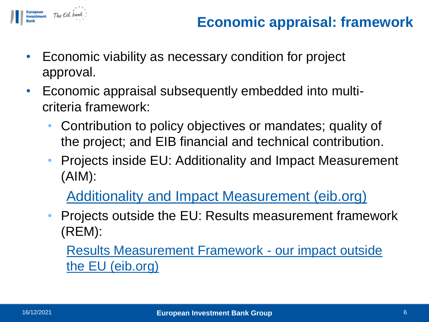

- Economic viability as necessary condition for project approval.
- Economic appraisal subsequently embedded into multicriteria framework:
	- Contribution to policy objectives or mandates; quality of the project; and EIB financial and technical contribution.
	- Projects inside EU: Additionality and Impact Measurement (AIM):

Additionality [and Impact Measurement \(eib.org\)](https://www.eib.org/en/projects/cycle/monitoring/aim.htm)

• Projects outside the EU: Results measurement framework (REM):

[Results Measurement Framework -](https://www.eib.org/en/projects/cycle/monitoring/rem.htm) our impact outside the EU (eib.org)

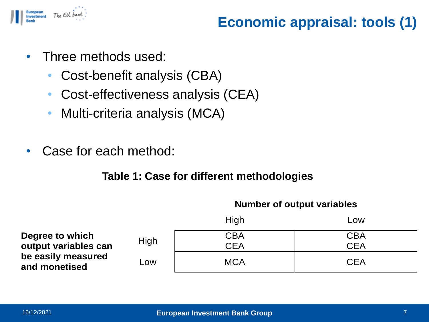

## **Economic appraisal: tools (1)**

- Three methods used:
	- Cost-benefit analysis (CBA)
	- Cost-effectiveness analysis (CEA)
	- Multi-criteria analysis (MCA)
- Case for each method:

#### **Table 1: Case for different methodologies**

|                                                             |      | High       | Low        |
|-------------------------------------------------------------|------|------------|------------|
| Degree to which                                             |      | <b>CBA</b> | <b>CBA</b> |
| output variables can<br>be easily measured<br>and monetised | High | <b>CEA</b> | <b>CEA</b> |
|                                                             | Low  | <b>MCA</b> | <b>CEA</b> |

#### **Number of output variables**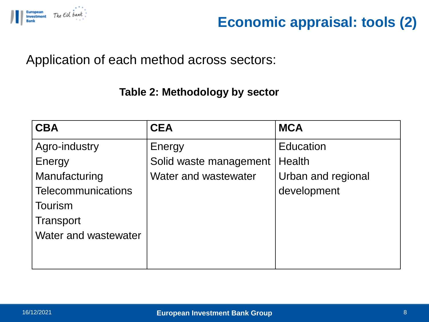

## **Economic appraisal: tools (2)**

Application of each method across sectors:

#### **Table 2: Methodology by sector**

| <b>CBA</b>                | <b>CEA</b>             | <b>MCA</b>         |
|---------------------------|------------------------|--------------------|
| Agro-industry             | Energy                 | <b>Education</b>   |
| Energy                    | Solid waste management | <b>Health</b>      |
| Manufacturing             | Water and wastewater   | Urban and regional |
| <b>Telecommunications</b> |                        | development        |
| <b>Tourism</b>            |                        |                    |
| Transport                 |                        |                    |
| Water and wastewater      |                        |                    |
|                           |                        |                    |
|                           |                        |                    |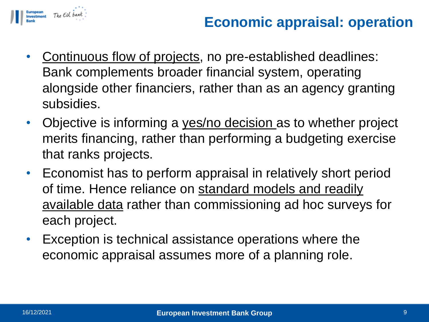

## **Economic appraisal: operation**

- Continuous flow of projects, no pre-established deadlines: Bank complements broader financial system, operating alongside other financiers, rather than as an agency granting subsidies.
- Objective is informing a yes/no decision as to whether project merits financing, rather than performing a budgeting exercise that ranks projects.
- Economist has to perform appraisal in relatively short period of time. Hence reliance on standard models and readily available data rather than commissioning ad hoc surveys for each project.
- Exception is technical assistance operations where the economic appraisal assumes more of a planning role.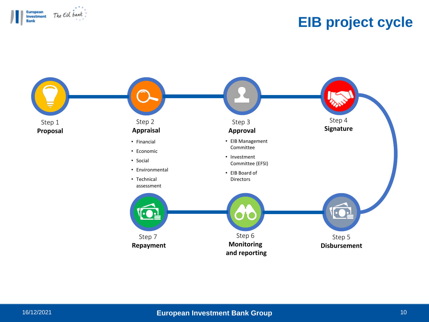

## **EIB project cycle**

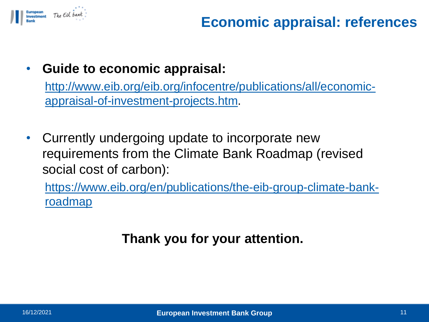

## **Economic appraisal: references**

### • **Guide to economic appraisal:**

[http://www.eib.org/eib.org/infocentre/publications/all/economic](http://www.eib.org/eib.org/infocentre/publications/all/economic-appraisal-of-investment-projects.htm)appraisal-of-investment-projects.htm.

• Currently undergoing update to incorporate new requirements from the Climate Bank Roadmap (revised social cost of carbon):

[https://www.eib.org/en/publications/the-eib-group-climate-bank](https://www.eib.org/en/publications/the-eib-group-climate-bank-roadmap)roadmap

## **Thank you for your attention.**